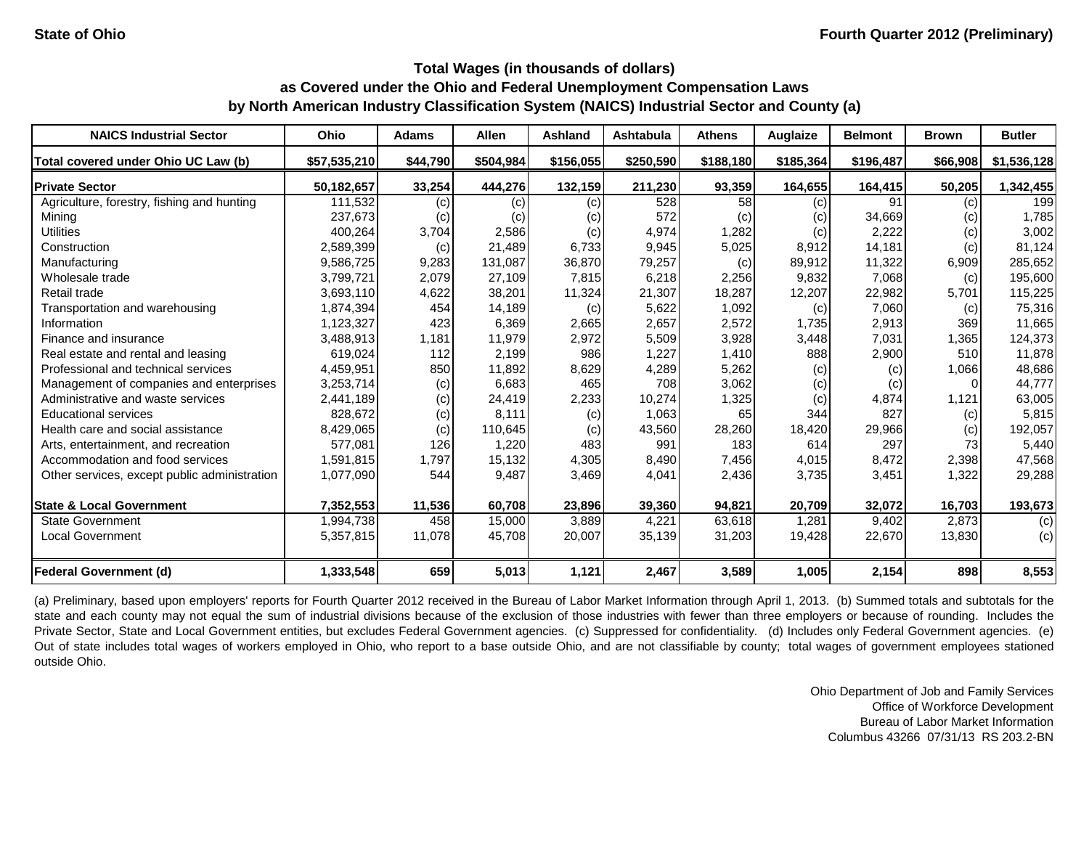| <b>NAICS Industrial Sector</b>               | <b>Ohio</b>  | <b>Adams</b> | <b>Allen</b>               | <b>Ashland</b> | <b>Ashtabula</b> | <b>Athens</b> | Auglaize  | <b>Belmont</b> | <b>Brown</b>               | <b>Butler</b> |
|----------------------------------------------|--------------|--------------|----------------------------|----------------|------------------|---------------|-----------|----------------|----------------------------|---------------|
| Total covered under Ohio UC Law (b)          | \$57,535,210 | \$44,790     | \$504,984                  | \$156,055      | \$250,590        | \$188,180     | \$185,364 | \$196,487      | \$66,908                   | \$1,536,128   |
| <b>Private Sector</b>                        | 50,182,657   | 33,254       | 444,276                    | 132,159        | 211,230          | 93,359        | 164,655   | 164,415        | 50,205                     | 1,342,455     |
| Agriculture, forestry, fishing and hunting   | 111,532      | (c)          | (c)                        | (c)            | 528              | 58            | (c)       | 91             | (c)                        | 199           |
| Mining                                       | 237,673      | (c)          | $\left( \mathrm{c}\right)$ | (c)            | 572              | (c)           | (c)       | 34,669         | $\left( \mathrm{c}\right)$ | 1,785         |
| <b>Utilities</b>                             | 400,264      | 3,704        | 2,586                      | (c)            | 4,974            | 1,282         | (c)       | 2,222          | (c)                        | 3,002         |
| Construction                                 | 2,589,399    | (c)          | 21,489                     | 6,733          | 9,945            | 5,025         | 8,912     | 14,181         | (c)                        | 81,124        |
| Manufacturing                                | 9,586,725    | 9,283        | 131,087                    | 36,870         | 79,257           | (c)           | 89,912    | 11,322         | 6,909                      | 285,652       |
| Wholesale trade                              | 3,799,721    | 2,079        | 27,109                     | 7,815          | 6,218            | 2,256         | 9,832     | 7,068          | (c)                        | 195,600       |
| Retail trade                                 | 3,693,110    | 4,622        | 38,201                     | 11,324         | 21,307           | 18,287        | 12,207    | 22,982         | 5,701                      | 115,225       |
| Transportation and warehousing               | 1,874,394    | 454          | 14,189                     | (c)            | 5,622            | 1,092         | (c)       | 7,060          | (c)                        | 75,316        |
| Information                                  | 1,123,327    | 423          | 6,369                      | 2,665          | 2,657            | 2,572         | 1,735     | 2,913          | 369                        | 11,665        |
| Finance and insurance                        | 3,488,913    | 1,181        | 11,979                     | 2,972          | 5,509            | 3,928         | 3,448     | 7,031          | 1,365                      | 124,373       |
| Real estate and rental and leasing           | 619,024      | 112          | 2,199                      | 986            | 1,227            | 1,410         | 888       | 2,900          | 510                        | 11,878        |
| Professional and technical services          | 4,459,951    | 850          | 11,892                     | 8,629          | 4,289            | 5,262         | (c)       | (c)            | 1,066                      | 48,686        |
| Management of companies and enterprises      | 3,253,714    | (c)          | 6,683                      | 465            | 708              | 3,062         | (c)       | (c)            | <sup>0</sup>               | 44,777        |
| Administrative and waste services            | 2,441,189    | (c)          | 24,419                     | 2,233          | 10,274           | 1,325         | (c)       | 4,874          | 1,121                      | 63,005        |
| <b>Educational services</b>                  | 828,672      | (c)          | 8,111                      | (c)            | 1,063            | 65            | 344       | 827            | (c)                        | 5,815         |
| Health care and social assistance            | 8,429,065    | (c)          | 110,645                    | (c)            | 43,560           | 28,260        | 18,420    | 29,966         | (c)                        | 192,057       |
| Arts, entertainment, and recreation          | 577.081      | 126          | 1,220                      | 483            | 991              | 183           | 614       | 297            | 73                         | 5,440         |
| Accommodation and food services              | 1,591,815    | 1,797        | 15,132                     | 4,305          | 8,490            | 7,456         | 4,015     | 8,472          | 2,398                      | 47,568        |
| Other services, except public administration | 1,077,090    | 544          | 9,487                      | 3,469          | 4,041            | 2,436         | 3,735     | 3,451          | 1,322                      | 29,288        |
| <b>State &amp; Local Government</b>          | 7,352,553    | 11,536       | 60,708                     | 23,896         | 39,360           | 94,821        | 20,709    | 32,072         | 16.703                     | 193,673       |
| <b>State Government</b>                      | 1,994,738    | 458          | 15,000                     | 3,889          | 4,221            | 63,618        | 1,281     | 9,402          | 2,873                      | (c)           |
| <b>Local Government</b>                      | 5,357,815    | 11,078       | 45,708                     | 20,007         | 35,139           | 31,203        | 19,428    | 22,670         | 13,830                     | (c)           |
| Federal Government (d)                       | 1,333,548    | 659          | 5,013                      | 1,121          | 2,467            | 3,589         | 1,005     | 2,154          | 898                        | 8,553         |

(a) Preliminary, based upon employers' reports for Fourth Quarter 2012 received in the Bureau of Labor Market Information through April 1, 2013. (b) Summed totals and subtotals for the state and each county may not equal the sum of industrial divisions because of the exclusion of those industries with fewer than three employers or because of rounding. Includes the Private Sector, State and Local Government entities, but excludes Federal Government agencies. (c) Suppressed for confidentiality. (d) Includes only Federal Government agencies. (e) Out of state includes total wages of workers employed in Ohio, who report to a base outside Ohio, and are not classifiable by county; total wages of government employees stationed outside Ohio.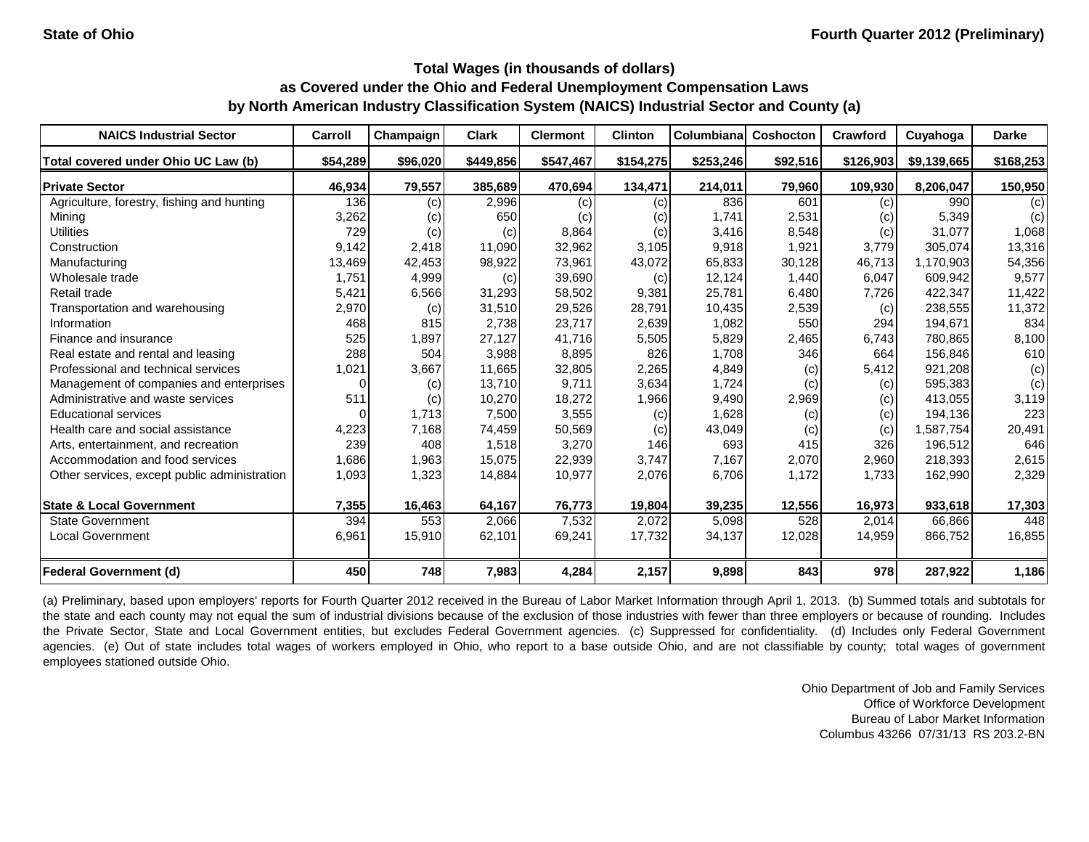| <b>NAICS Industrial Sector</b>               | Carroll  | Champaign | <b>Clark</b> | <b>Clermont</b> | <b>Clinton</b> | Columbiana | Coshocton | Crawford  | Cuyahoga    | <b>Darke</b> |
|----------------------------------------------|----------|-----------|--------------|-----------------|----------------|------------|-----------|-----------|-------------|--------------|
| Total covered under Ohio UC Law (b)          | \$54,289 | \$96,020  | \$449,856    | \$547,467       | \$154,275      | \$253,246  | \$92,516  | \$126,903 | \$9,139,665 | \$168,253    |
| <b>Private Sector</b>                        | 46,934   | 79,557    | 385,689      | 470,694         | 134,471        | 214,011    | 79,960    | 109,930   | 8,206,047   | 150,950      |
| Agriculture, forestry, fishing and hunting   | 136      | (c)       | 2,996        | (c)             | (c)            | 836        | 601       | (c)       | 990         | (c)          |
| Mining                                       | 3,262    | (c)       | 650          | (c)             | (c)            | 1,741      | 2,531     | (c)       | 5,349       | (c)          |
| <b>Utilities</b>                             | 729      | (c)       | (c)          | 8,864           | (c)            | 3,416      | 8,548     | (c)       | 31,077      | 1,068        |
| Construction                                 | 9,142    | 2,418     | 11,090       | 32,962          | 3,105          | 9,918      | 1,921     | 3,779     | 305,074     | 13,316       |
| Manufacturing                                | 13,469   | 42,453    | 98,922       | 73,961          | 43,072         | 65,833     | 30,128    | 46,713    | 1,170,903   | 54,356       |
| Wholesale trade                              | 1,751    | 4,999     | (c)          | 39,690          | (c)            | 12,124     | 1,440     | 6,047     | 609,942     | 9,577        |
| Retail trade                                 | 5,421    | 6,566     | 31,293       | 58,502          | 9,381          | 25,781     | 6,480     | 7,726     | 422,347     | 11,422       |
| Transportation and warehousing               | 2,970    | (c)       | 31,510       | 29,526          | 28,791         | 10,435     | 2,539     | (c)       | 238,555     | 11,372       |
| Information                                  | 468      | 815       | 2,738        | 23,717          | 2,639          | 1,082      | 550       | 294       | 194,671     | 834          |
| Finance and insurance                        | 525      | 1,897     | 27,127       | 41,716          | 5,505          | 5,829      | 2,465     | 6,743     | 780,865     | 8,100        |
| Real estate and rental and leasing           | 288      | 504       | 3,988        | 8,895           | 826            | 1,708      | 346       | 664       | 156,846     | 610          |
| Professional and technical services          | 1,021    | 3,667     | 11,665       | 32,805          | 2,265          | 4,849      | (c)       | 5,412     | 921,208     | (c)          |
| Management of companies and enterprises      | $\Omega$ | (c)       | 13,710       | 9,711           | 3,634          | 1,724      | (c)       | (c)       | 595,383     | (c)          |
| Administrative and waste services            | 511      | (c)       | 10,270       | 18,272          | 1,966          | 9,490      | 2,969     | (c)       | 413,055     | 3,119        |
| <b>Educational services</b>                  | 0        | 1,713     | 7,500        | 3,555           | (c)            | 1,628      | (c)       | (c)       | 194,136     | 223          |
| Health care and social assistance            | 4,223    | 7,168     | 74,459       | 50,569          | (c)            | 43,049     | (c)       | (c)       | 1,587,754   | 20,491       |
| Arts, entertainment, and recreation          | 239      | 408       | 1,518        | 3,270           | 146            | 693        | 415       | 326       | 196,512     | 646          |
| Accommodation and food services              | 1,686    | 1,963     | 15,075       | 22,939          | 3,747          | 7,167      | 2,070     | 2,960     | 218,393     | 2,615        |
| Other services, except public administration | 1,093    | 1,323     | 14,884       | 10,977          | 2,076          | 6,706      | 1,172     | 1,733     | 162,990     | 2,329        |
| <b>State &amp; Local Government</b>          | 7,355    | 16,463    | 64,167       | 76,773          | 19,804         | 39,235     | 12,556    | 16,973    | 933,618     | 17,303       |
| <b>State Government</b>                      | 394      | 553       | 2,066        | 7,532           | 2,072          | 5,098      | 528       | 2,014     | 66,866      | 448          |
| <b>Local Government</b>                      | 6,961    | 15,910    | 62,101       | 69,241          | 17,732         | 34,137     | 12,028    | 14,959    | 866,752     | 16,855       |
| <b>Federal Government (d)</b>                | 450      | 748       | 7,983        | 4,284           | 2,157          | 9,898      | 843       | 978       | 287,922     | 1,186        |

(a) Preliminary, based upon employers' reports for Fourth Quarter 2012 received in the Bureau of Labor Market Information through April 1, 2013. (b) Summed totals and subtotals for the state and each county may not equal the sum of industrial divisions because of the exclusion of those industries with fewer than three employers or because of rounding. Includes the Private Sector, State and Local Government entities, but excludes Federal Government agencies. (c) Suppressed for confidentiality. (d) Includes only Federal Government agencies. (e) Out of state includes total wages of workers employed in Ohio, who report to a base outside Ohio, and are not classifiable by county; total wages of government employees stationed outside Ohio.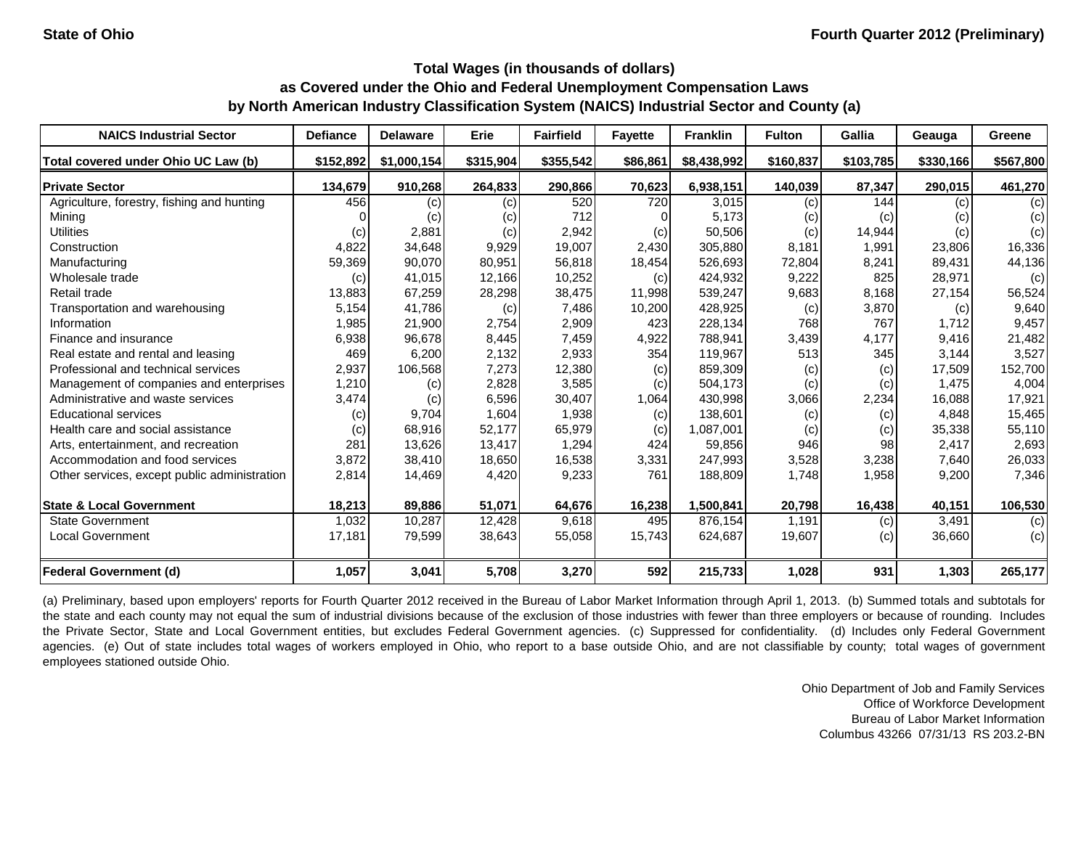| <b>NAICS Industrial Sector</b>               | <b>Defiance</b> | <b>Delaware</b> | Erie      | <b>Fairfield</b> | <b>Fayette</b> | <b>Franklin</b> | <b>Fulton</b> | Gallia    | Geauga    | Greene    |
|----------------------------------------------|-----------------|-----------------|-----------|------------------|----------------|-----------------|---------------|-----------|-----------|-----------|
| Total covered under Ohio UC Law (b)          | \$152,892       | \$1,000,154     | \$315,904 | \$355,542        | \$86,861       | \$8,438,992     | \$160,837     | \$103,785 | \$330,166 | \$567,800 |
| <b>Private Sector</b>                        | 134,679         | 910,268         | 264,833   | 290,866          | 70,623         | 6,938,151       | 140,039       | 87,347    | 290,015   | 461,270   |
| Agriculture, forestry, fishing and hunting   | 456             | (c)             | (c)       | 520              | 720            | 3,015           | (c)           | 144       | (c)       | (c)       |
| Mining                                       |                 | (c)             | (c)       | 712              |                | 5,173           | (c)           | (c)       | (c)       | (c)       |
| <b>Utilities</b>                             | (c)             | 2,881           | (c)       | 2,942            | (c)            | 50,506          | (c)           | 14,944    | (c)       | (c)       |
| Construction                                 | 4,822           | 34,648          | 9,929     | 19,007           | 2,430          | 305,880         | 8,181         | 1,991     | 23,806    | 16,336    |
| Manufacturing                                | 59,369          | 90,070          | 80,951    | 56,818           | 18,454         | 526,693         | 72,804        | 8,241     | 89,431    | 44,136    |
| Wholesale trade                              | (c)             | 41,015          | 12,166    | 10,252           | (c)            | 424,932         | 9,222         | 825       | 28,971    | (c)       |
| Retail trade                                 | 13,883          | 67,259          | 28,298    | 38,475           | 11,998         | 539,247         | 9,683         | 8,168     | 27,154    | 56,524    |
| Transportation and warehousing               | 5,154           | 41,786          | (c)       | 7,486            | 10,200         | 428,925         | (c)           | 3,870     | (c)       | 9,640     |
| Information                                  | 1,985           | 21,900          | 2,754     | 2,909            | 423            | 228,134         | 768           | 767       | 1.712     | 9,457     |
| Finance and insurance                        | 6,938           | 96,678          | 8,445     | 7,459            | 4,922          | 788,941         | 3,439         | 4,177     | 9,416     | 21,482    |
| Real estate and rental and leasing           | 469             | 6,200           | 2,132     | 2,933            | 354            | 119,967         | 513           | 345       | 3,144     | 3,527     |
| Professional and technical services          | 2,937           | 106,568         | 7,273     | 12,380           | (c)            | 859,309         | (c)           | (c)       | 17,509    | 152,700   |
| Management of companies and enterprises      | 1,210           | (c)             | 2,828     | 3,585            | (c)            | 504,173         | (c)           | (c)       | 1.475     | 4,004     |
| Administrative and waste services            | 3,474           | (c)             | 6,596     | 30,407           | 1,064          | 430,998         | 3,066         | 2,234     | 16,088    | 17,921    |
| <b>Educational services</b>                  | (c)             | 9,704           | 1,604     | 1,938            | (c)            | 138,601         | (c)           | (c)       | 4,848     | 15,465    |
| Health care and social assistance            | (c)             | 68,916          | 52,177    | 65,979           | (c)            | 1,087,001       | (c)           | (c)       | 35,338    | 55,110    |
| Arts, entertainment, and recreation          | 281             | 13,626          | 13,417    | 1,294            | 424            | 59,856          | 946           | 98        | 2,417     | 2,693     |
| Accommodation and food services              | 3,872           | 38,410          | 18,650    | 16,538           | 3,331          | 247,993         | 3,528         | 3,238     | 7,640     | 26,033    |
| Other services, except public administration | 2,814           | 14,469          | 4,420     | 9,233            | 761            | 188,809         | 1,748         | 1,958     | 9,200     | 7,346     |
| <b>State &amp; Local Government</b>          | 18,213          | 89,886          | 51,071    | 64,676           | 16,238         | 1,500,841       | 20,798        | 16,438    | 40,151    | 106,530   |
| <b>State Government</b>                      | 1,032           | 10,287          | 12,428    | 9,618            | 495            | 876,154         | 1,191         | (c)       | 3,491     | (c)       |
| <b>Local Government</b>                      | 17,181          | 79,599          | 38,643    | 55,058           | 15,743         | 624,687         | 19,607        | (c)       | 36,660    | (c)       |
| <b>Federal Government (d)</b>                | 1,057           | 3,041           | 5,708     | 3,270            | 592            | 215,733         | 1,028         | 931       | 1,303     | 265,177   |

(a) Preliminary, based upon employers' reports for Fourth Quarter 2012 received in the Bureau of Labor Market Information through April 1, 2013. (b) Summed totals and subtotals for the state and each county may not equal the sum of industrial divisions because of the exclusion of those industries with fewer than three employers or because of rounding. Includes the Private Sector, State and Local Government entities, but excludes Federal Government agencies. (c) Suppressed for confidentiality. (d) Includes only Federal Government agencies. (e) Out of state includes total wages of workers employed in Ohio, who report to a base outside Ohio, and are not classifiable by county; total wages of government employees stationed outside Ohio.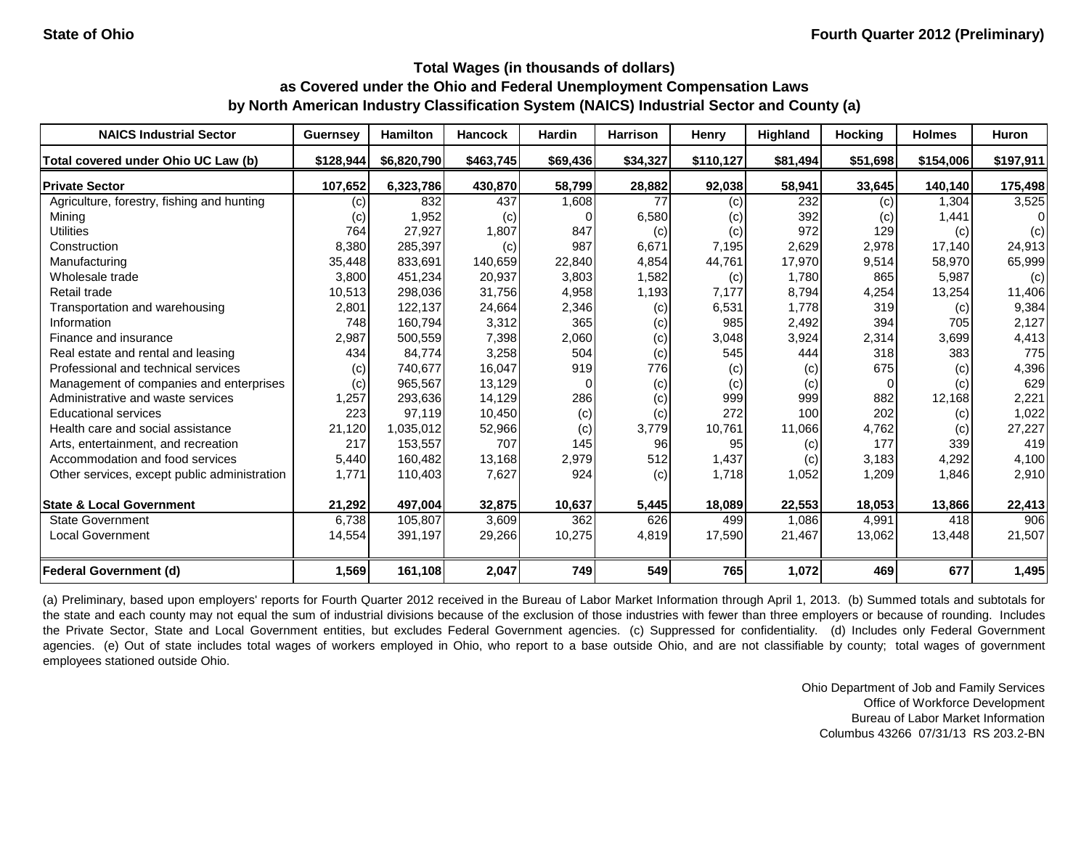| <b>NAICS Industrial Sector</b>               | <b>Guernsey</b> | <b>Hamilton</b> | <b>Hancock</b> | <b>Hardin</b> | <b>Harrison</b> | Henry     | Highland | <b>Hocking</b> | <b>Holmes</b> | <b>Huron</b> |
|----------------------------------------------|-----------------|-----------------|----------------|---------------|-----------------|-----------|----------|----------------|---------------|--------------|
| Total covered under Ohio UC Law (b)          | \$128,944       | \$6,820,790     | \$463,745      | \$69,436      | \$34,327        | \$110.127 | \$81.494 | \$51,698       | \$154,006     | \$197,911    |
| <b>Private Sector</b>                        | 107,652         | 6,323,786       | 430,870        | 58,799        | 28,882          | 92,038    | 58,941   | 33,645         | 140,140       | 175,498      |
| Agriculture, forestry, fishing and hunting   | (c)             | 832             | 437            | 1,608         | 77              | (c)       | 232      | (c)            | 1,304         | 3,525        |
| Minina                                       | (c)             | 1,952           | (c)            |               | 6,580           | (c)       | 392      | (c)            | 1,441         | 01           |
| <b>Utilities</b>                             | 764             | 27,927          | 1,807          | 847           | (c)             | (c)       | 972      | 129            | (c)           | (c)          |
| Construction                                 | 8,380           | 285,397         | (c)            | 987           | 6,671           | 7,195     | 2,629    | 2,978          | 17,140        | 24,913       |
| Manufacturing                                | 35,448          | 833,691         | 140,659        | 22,840        | 4,854           | 44,761    | 17,970   | 9,514          | 58,970        | 65,999       |
| Wholesale trade                              | 3,800           | 451,234         | 20,937         | 3,803         | 1,582           | (c)       | 1,780    | 865            | 5,987         | (c)          |
| Retail trade                                 | 10,513          | 298,036         | 31,756         | 4,958         | 1,193           | 7,177     | 8,794    | 4,254          | 13,254        | 11,406       |
| Transportation and warehousing               | 2,801           | 122,137         | 24,664         | 2,346         | (c)             | 6,531     | 1.778    | 319            | (c)           | 9,384        |
| Information                                  | 748             | 160,794         | 3,312          | 365           | (c)             | 985       | 2,492    | 394            | 705           | 2,127        |
| Finance and insurance                        | 2,987           | 500,559         | 7,398          | 2,060         | (c)             | 3,048     | 3,924    | 2,314          | 3,699         | 4,413        |
| Real estate and rental and leasing           | 434             | 84,774          | 3,258          | 504           | (c)             | 545       | 444      | 318            | 383           | 775          |
| Professional and technical services          | (c)             | 740,677         | 16,047         | 919           | 776             | (c)       | (c)      | 675            | (c)           | 4,396        |
| Management of companies and enterprises      | (c)             | 965,567         | 13,129         |               | (c)             | (c)       | (c)      | $\Omega$       | (c)           | 629          |
| Administrative and waste services            | 1,257           | 293,636         | 14,129         | 286           | (c)             | 999       | 999      | 882            | 12,168        | 2,221        |
| <b>Educational services</b>                  | 223             | 97,119          | 10,450         | (c)           | (c)             | 272       | 100      | 202            | (c)           | 1,022        |
| Health care and social assistance            | 21,120          | 1,035,012       | 52,966         | (c)           | 3,779           | 10,761    | 11,066   | 4,762          | (c)           | 27,227       |
| Arts, entertainment, and recreation          | 217             | 153,557         | 707            | 145           | 96              | 95        | (c)      | 177            | 339           | 419          |
| Accommodation and food services              | 5,440           | 160,482         | 13,168         | 2,979         | 512             | 1,437     | (c)      | 3,183          | 4,292         | 4,100        |
| Other services, except public administration | 1,771           | 110,403         | 7,627          | 924           | (c)             | 1,718     | 1,052    | 1,209          | 1,846         | 2,910        |
| <b>State &amp; Local Government</b>          | 21,292          | 497,004         | 32,875         | 10,637        | 5,445           | 18,089    | 22,553   | 18,053         | 13,866        | 22,413       |
| <b>State Government</b>                      | 6,738           | 105,807         | 3,609          | 362           | 626             | 499       | 1,086    | 4,991          | 418           | 906          |
| <b>Local Government</b>                      | 14,554          | 391,197         | 29,266         | 10,275        | 4,819           | 17,590    | 21,467   | 13,062         | 13,448        | 21,507       |
| <b>Federal Government (d)</b>                | 1,569           | 161,108         | 2,047          | 749           | 549             | 765       | 1,072    | 469            | 677           | 1,495        |

(a) Preliminary, based upon employers' reports for Fourth Quarter 2012 received in the Bureau of Labor Market Information through April 1, 2013. (b) Summed totals and subtotals for the state and each county may not equal the sum of industrial divisions because of the exclusion of those industries with fewer than three employers or because of rounding. Includes the Private Sector, State and Local Government entities, but excludes Federal Government agencies. (c) Suppressed for confidentiality. (d) Includes only Federal Government agencies. (e) Out of state includes total wages of workers employed in Ohio, who report to a base outside Ohio, and are not classifiable by county; total wages of government employees stationed outside Ohio.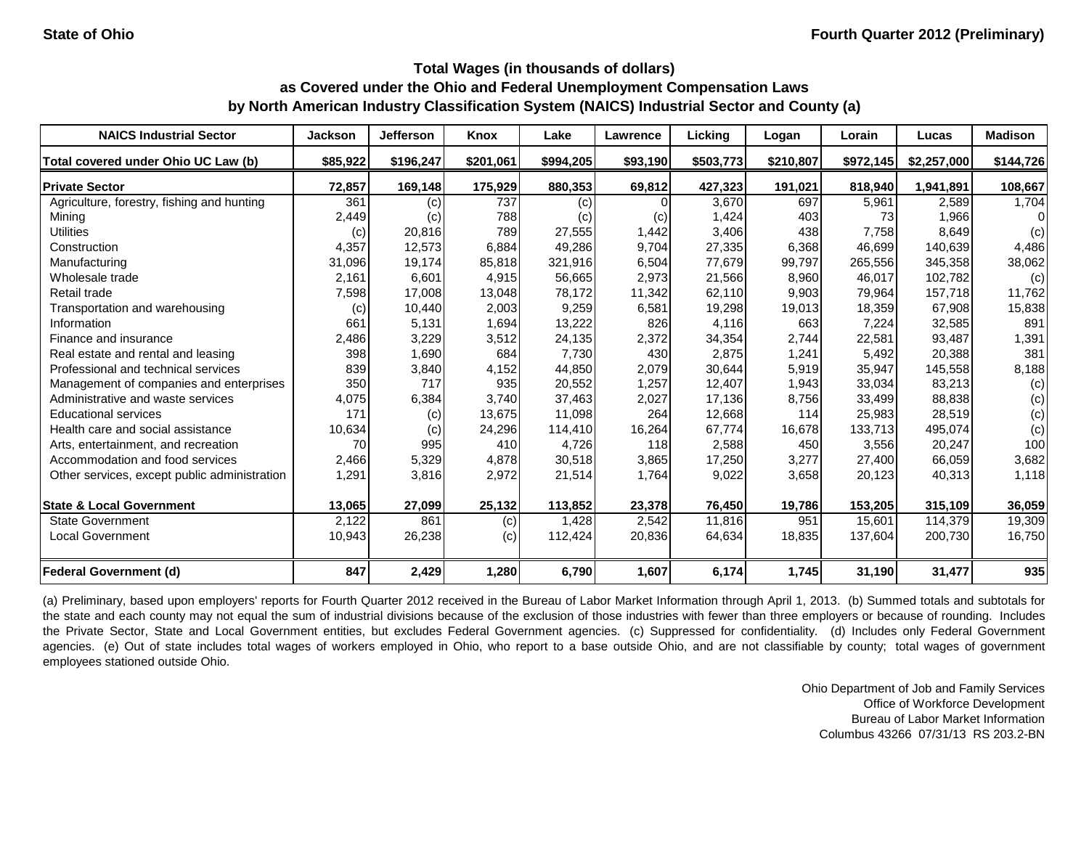| <b>NAICS Industrial Sector</b>               | <b>Jackson</b> | <b>Jefferson</b> | Knox      | Lake      | Lawrence | Licking   | Logan     | Lorain    | Lucas       | <b>Madison</b> |
|----------------------------------------------|----------------|------------------|-----------|-----------|----------|-----------|-----------|-----------|-------------|----------------|
| Total covered under Ohio UC Law (b)          | \$85,922       | \$196,247        | \$201,061 | \$994,205 | \$93,190 | \$503,773 | \$210,807 | \$972,145 | \$2,257,000 | \$144,726      |
| <b>Private Sector</b>                        | 72,857         | 169,148          | 175,929   | 880,353   | 69,812   | 427,323   | 191,021   | 818,940   | 1,941,891   | 108,667        |
| Agriculture, forestry, fishing and hunting   | 361            | (c)              | 737       | (c)       |          | 3,670     | 697       | 5,961     | 2,589       | 1,704          |
| Mining                                       | 2,449          | (c)              | 788       | (c)       | (c)      | 1,424     | 403       | 73        | 1,966       | 0              |
| <b>Utilities</b>                             | (c)            | 20,816           | 789       | 27,555    | 1,442    | 3,406     | 438       | 7,758     | 8,649       | (c)            |
| Construction                                 | 4,357          | 12,573           | 6,884     | 49,286    | 9,704    | 27,335    | 6,368     | 46,699    | 140,639     | 4,486          |
| Manufacturing                                | 31,096         | 19,174           | 85,818    | 321,916   | 6,504    | 77,679    | 99,797    | 265,556   | 345,358     | 38,062         |
| Wholesale trade                              | 2,161          | 6,601            | 4,915     | 56,665    | 2,973    | 21,566    | 8,960     | 46,017    | 102,782     | (c)            |
| Retail trade                                 | 7,598          | 17,008           | 13,048    | 78,172    | 11,342   | 62,110    | 9,903     | 79,964    | 157,718     | 11,762         |
| Transportation and warehousing               | (c)            | 10,440           | 2,003     | 9,259     | 6,581    | 19,298    | 19,013    | 18,359    | 67,908      | 15,838         |
| Information                                  | 661            | 5,131            | 1,694     | 13,222    | 826      | 4,116     | 663       | 7,224     | 32,585      | 891            |
| Finance and insurance                        | 2,486          | 3,229            | 3,512     | 24,135    | 2,372    | 34,354    | 2,744     | 22,581    | 93,487      | 1,391          |
| Real estate and rental and leasing           | 398            | 1,690            | 684       | 7,730     | 430      | 2,875     | 1,241     | 5,492     | 20,388      | 381            |
| Professional and technical services          | 839            | 3,840            | 4,152     | 44,850    | 2,079    | 30,644    | 5,919     | 35,947    | 145,558     | 8,188          |
| Management of companies and enterprises      | 350            | 717              | 935       | 20,552    | 1,257    | 12,407    | 1,943     | 33,034    | 83,213      | (c)            |
| Administrative and waste services            | 4,075          | 6,384            | 3.740     | 37,463    | 2,027    | 17,136    | 8,756     | 33,499    | 88,838      | (c)            |
| <b>Educational services</b>                  | 171            | (c)              | 13,675    | 11,098    | 264      | 12,668    | 114       | 25,983    | 28,519      | (c)            |
| Health care and social assistance            | 10,634         | (c)              | 24,296    | 114,410   | 16,264   | 67,774    | 16,678    | 133,713   | 495,074     | (c)            |
| Arts, entertainment, and recreation          | 70             | 995              | 410       | 4,726     | 118      | 2,588     | 450       | 3,556     | 20,247      | 100            |
| Accommodation and food services              | 2,466          | 5,329            | 4,878     | 30,518    | 3,865    | 17,250    | 3,277     | 27,400    | 66,059      | 3,682          |
| Other services, except public administration | 1,291          | 3,816            | 2,972     | 21,514    | 1,764    | 9,022     | 3,658     | 20,123    | 40,313      | 1,118          |
| <b>State &amp; Local Government</b>          | 13,065         | 27,099           | 25,132    | 113,852   | 23,378   | 76,450    | 19,786    | 153,205   | 315,109     | 36,059         |
| <b>State Government</b>                      | 2,122          | 861              | (c)       | 1,428     | 2,542    | 11,816    | 951       | 15,601    | 114,379     | 19,309         |
| <b>Local Government</b>                      | 10,943         | 26,238           | (c)       | 112,424   | 20,836   | 64,634    | 18,835    | 137,604   | 200,730     | 16,750         |
| <b>Federal Government (d)</b>                | 847            | 2,429            | 1,280     | 6,790     | 1,607    | 6,174     | 1,745     | 31,190    | 31,477      | 935            |

(a) Preliminary, based upon employers' reports for Fourth Quarter 2012 received in the Bureau of Labor Market Information through April 1, 2013. (b) Summed totals and subtotals for the state and each county may not equal the sum of industrial divisions because of the exclusion of those industries with fewer than three employers or because of rounding. Includes the Private Sector, State and Local Government entities, but excludes Federal Government agencies. (c) Suppressed for confidentiality. (d) Includes only Federal Government agencies. (e) Out of state includes total wages of workers employed in Ohio, who report to a base outside Ohio, and are not classifiable by county; total wages of government employees stationed outside Ohio.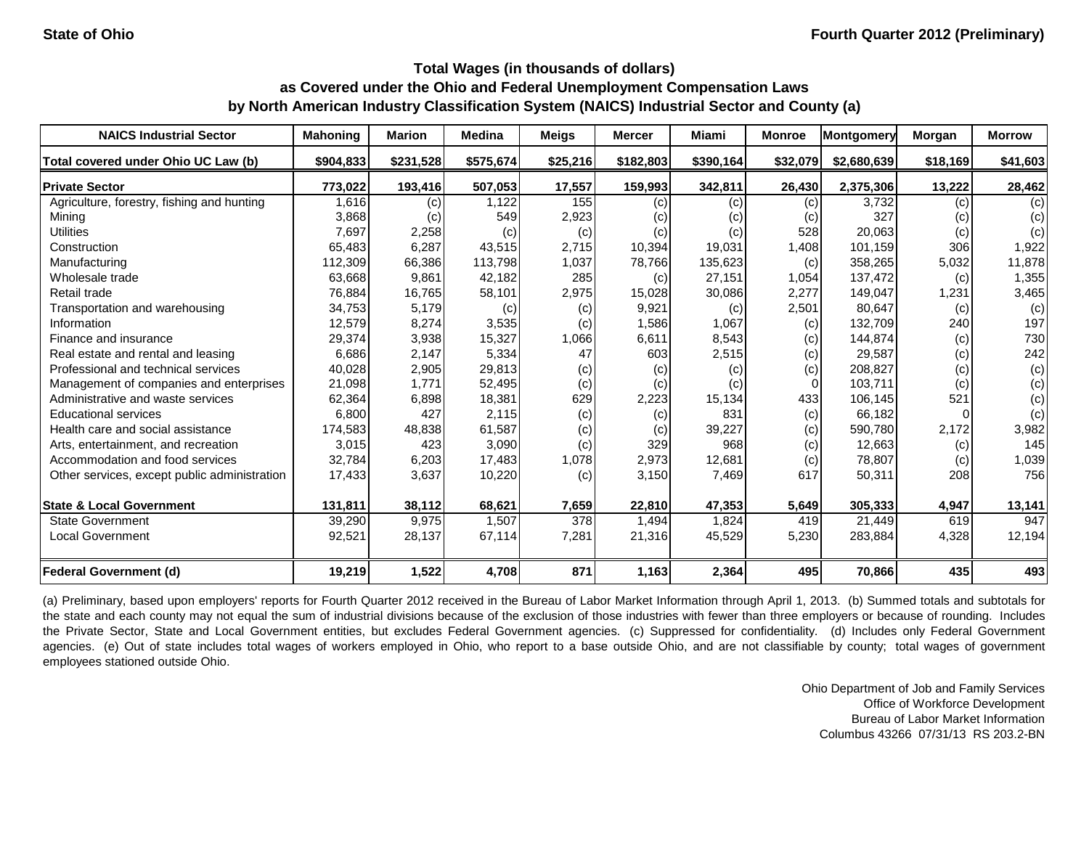| <b>NAICS Industrial Sector</b>               | <b>Mahoning</b> | <b>Marion</b> | <b>Medina</b> | <b>Meigs</b> | <b>Mercer</b> | <b>Miami</b>      | <b>Monroe</b> | Montgomery  | Morgan   | <b>Morrow</b> |
|----------------------------------------------|-----------------|---------------|---------------|--------------|---------------|-------------------|---------------|-------------|----------|---------------|
| Total covered under Ohio UC Law (b)          | \$904,833       | \$231,528     | \$575,674     | \$25,216     | \$182,803     | \$390,164         | \$32,079      | \$2,680,639 | \$18,169 | \$41,603      |
| <b>Private Sector</b>                        | 773,022         | 193,416       | 507,053       | 17,557       | 159,993       | 342,811           | 26,430        | 2,375,306   | 13,222   | 28,462        |
| Agriculture, forestry, fishing and hunting   | 1,616           | (c)           | 1,122         | 155          | (c)           | (c)               | (c)           | 3,732       | (c)      | (c)           |
| Mining                                       | 3,868           | (c)           | 549           | 2,923        | (c)           | $\left( c\right)$ | (c)           | 327         | (c)      | (c)           |
| <b>Utilities</b>                             | 7,697           | 2,258         | (c)           | (c)          | (c)           | (c)               | 528           | 20,063      | (c)      | (c)           |
| Construction                                 | 65,483          | 6,287         | 43,515        | 2,715        | 10,394        | 19,031            | 1,408         | 101,159     | 306      | 1,922         |
| Manufacturing                                | 112,309         | 66,386        | 113,798       | 1,037        | 78,766        | 135,623           | (c)           | 358,265     | 5,032    | 11,878        |
| Wholesale trade                              | 63,668          | 9,861         | 42,182        | 285          | (c)           | 27,151            | 1,054         | 137,472     | (c)      | 1,355         |
| Retail trade                                 | 76,884          | 16,765        | 58,101        | 2,975        | 15,028        | 30,086            | 2,277         | 149,047     | 1,231    | 3,465         |
| Transportation and warehousing               | 34,753          | 5,179         | (c)           | (c)          | 9,921         | (c)               | 2,501         | 80,647      | (c)      | (c)           |
| Information                                  | 12,579          | 8,274         | 3,535         | (c)          | 1,586         | 1,067             | (c)           | 132,709     | 240      | 197           |
| Finance and insurance                        | 29,374          | 3,938         | 15,327        | 1,066        | 6,611         | 8,543             | (c)           | 144,874     | (c)      | 730           |
| Real estate and rental and leasing           | 6,686           | 2,147         | 5,334         | 47           | 603           | 2,515             | (c)           | 29,587      | (c)      | 242           |
| Professional and technical services          | 40,028          | 2,905         | 29,813        | (c)          | (c)           | (c)               | (c)           | 208,827     | (c)      | (c)           |
| Management of companies and enterprises      | 21,098          | 1,771         | 52,495        | (c)          | (c)           | (c)               | $\Omega$      | 103,711     | (c)      | (c)           |
| Administrative and waste services            | 62,364          | 6,898         | 18,381        | 629          | 2,223         | 15,134            | 433           | 106,145     | 521      | (c)           |
| <b>Educational services</b>                  | 6,800           | 427           | 2,115         | (c)          | (c)           | 831               | (c)           | 66,182      |          | (c)           |
| Health care and social assistance            | 174,583         | 48,838        | 61,587        | (c)          | (c)           | 39,227            | (c)           | 590,780     | 2,172    | 3,982         |
| Arts, entertainment, and recreation          | 3,015           | 423           | 3,090         | (c)          | 329           | 968               | (c)           | 12,663      | (c)      | 145           |
| Accommodation and food services              | 32,784          | 6,203         | 17,483        | 1,078        | 2,973         | 12,681            | (c)           | 78,807      | (c)      | 1,039         |
| Other services, except public administration | 17,433          | 3,637         | 10,220        | (c)          | 3,150         | 7,469             | 617           | 50,311      | 208      | 756           |
| <b>State &amp; Local Government</b>          | 131,811         | 38,112        | 68,621        | 7,659        | 22,810        | 47,353            | 5,649         | 305,333     | 4,947    | 13,141        |
| <b>State Government</b>                      | 39,290          | 9,975         | 1,507         | 378          | 1,494         | 1,824             | 419           | 21,449      | 619      | 947           |
| Local Government                             | 92,521          | 28,137        | 67,114        | 7,281        | 21,316        | 45,529            | 5,230         | 283,884     | 4,328    | 12,194        |
| <b>Federal Government (d)</b>                | 19,219          | 1,522         | 4,708         | 871          | 1,163         | 2,364             | 495           | 70,866      | 435      | 493           |

(a) Preliminary, based upon employers' reports for Fourth Quarter 2012 received in the Bureau of Labor Market Information through April 1, 2013. (b) Summed totals and subtotals for the state and each county may not equal the sum of industrial divisions because of the exclusion of those industries with fewer than three employers or because of rounding. Includes the Private Sector, State and Local Government entities, but excludes Federal Government agencies. (c) Suppressed for confidentiality. (d) Includes only Federal Government agencies. (e) Out of state includes total wages of workers employed in Ohio, who report to a base outside Ohio, and are not classifiable by county; total wages of government employees stationed outside Ohio.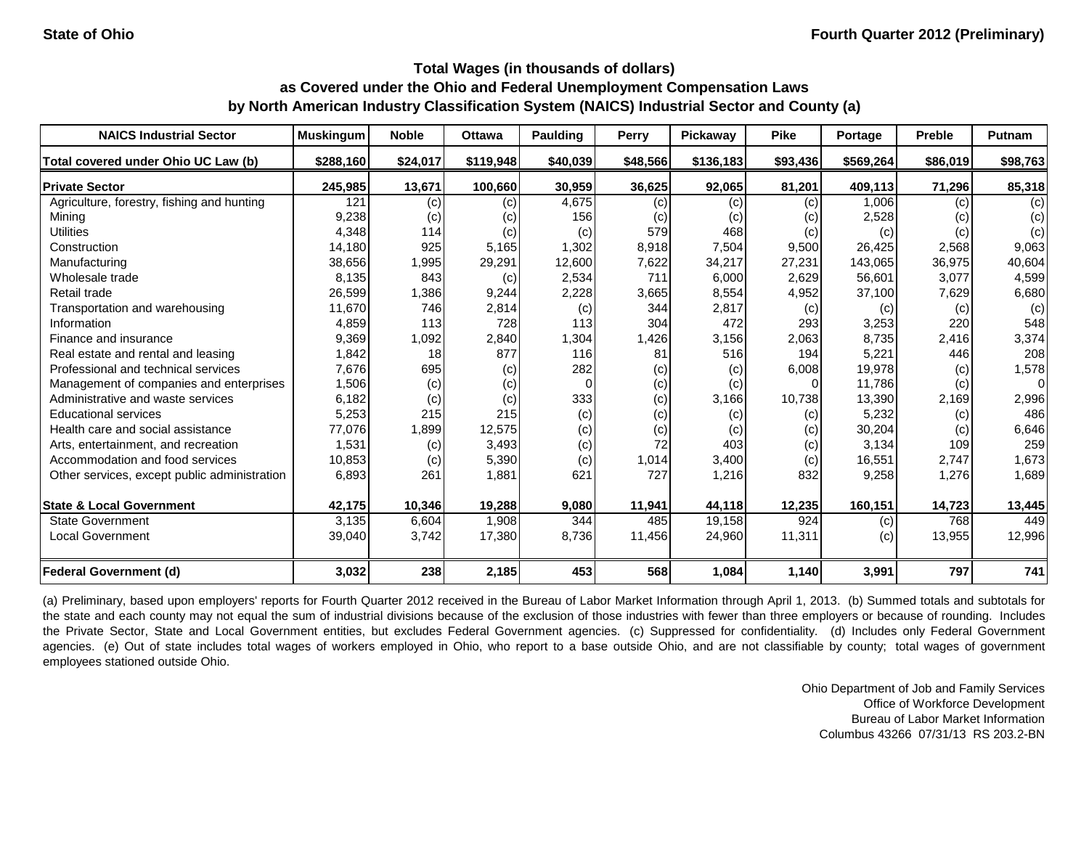| <b>NAICS Industrial Sector</b>               | <b>Muskingum</b> | <b>Noble</b> | <b>Ottawa</b> | <b>Paulding</b> | Perry    | Pickaway  | <b>Pike</b> | Portage   | <b>Preble</b> | Putnam   |
|----------------------------------------------|------------------|--------------|---------------|-----------------|----------|-----------|-------------|-----------|---------------|----------|
| Total covered under Ohio UC Law (b)          | \$288,160        | \$24,017     | \$119,948     | \$40,039        | \$48,566 | \$136,183 | \$93,436    | \$569,264 | \$86,019      | \$98,763 |
| <b>Private Sector</b>                        | 245,985          | 13,671       | 100,660       | 30,959          | 36,625   | 92,065    | 81,201      | 409,113   | 71,296        | 85,318   |
| Agriculture, forestry, fishing and hunting   | 121              | (c)          | (c)           | 4,675           | (c)      | (c)       | (c)         | 1,006     | (c)           | (c)      |
| Mining                                       | 9,238            | (c)          | (c)           | 156             | (c)      | (c)       | (c)         | 2,528     | (c)           | (c)      |
| <b>Utilities</b>                             | 4,348            | 114          | (c)           | (c)             | 579      | 468       | (c)         | (c)       | (c)           | (c)      |
| Construction                                 | 14,180           | 925          | 5,165         | 1,302           | 8,918    | 7,504     | 9,500       | 26,425    | 2,568         | 9,063    |
| Manufacturing                                | 38,656           | 1,995        | 29,291        | 12,600          | 7,622    | 34,217    | 27,231      | 143,065   | 36,975        | 40,604   |
| Wholesale trade                              | 8,135            | 843          | (c)           | 2,534           | 711      | 6,000     | 2,629       | 56,601    | 3,077         | 4,599    |
| Retail trade                                 | 26,599           | 1,386        | 9,244         | 2,228           | 3,665    | 8,554     | 4,952       | 37,100    | 7,629         | 6,680    |
| Transportation and warehousing               | 11,670           | 746          | 2,814         | (c)             | 344      | 2,817     | (c)         | (c)       | (c)           | (c)      |
| Information                                  | 4,859            | 113          | 728           | 113             | 304      | 472       | 293         | 3,253     | 220           | 548      |
| Finance and insurance                        | 9,369            | 1,092        | 2,840         | 1,304           | 1,426    | 3,156     | 2,063       | 8,735     | 2,416         | 3,374    |
| Real estate and rental and leasing           | 1,842            | 18           | 877           | 116             | 81       | 516       | 194         | 5,221     | 446           | 208      |
| Professional and technical services          | 7,676            | 695          | (c)           | 282             | (c)      | (c)       | 6,008       | 19,978    | (c)           | 1,578    |
| Management of companies and enterprises      | 1,506            | (c)          | (c)           |                 | (c)      | (c)       | 0           | 11,786    | (c)           | 0        |
| Administrative and waste services            | 6,182            | (c)          | (c)           | 333             | (c)      | 3,166     | 10,738      | 13,390    | 2,169         | 2,996    |
| <b>Educational services</b>                  | 5,253            | 215          | 215           | (c)             | (c)      | (c)       | (c)         | 5,232     | (c)           | 486      |
| Health care and social assistance            | 77,076           | 1,899        | 12,575        | (c)             | (c)      | (c)       | (c)         | 30,204    | (c)           | 6,646    |
| Arts, entertainment, and recreation          | 1,531            | (c)          | 3,493         | (c)             | 72       | 403       | (c)         | 3,134     | 109           | 259      |
| Accommodation and food services              | 10,853           | (c)          | 5,390         | (c)             | 1,014    | 3,400     | (c)         | 16,551    | 2,747         | 1,673    |
| Other services, except public administration | 6,893            | 261          | 1,881         | 621             | 727      | 1,216     | 832         | 9,258     | 1,276         | 1,689    |
| <b>State &amp; Local Government</b>          | 42,175           | 10,346       | 19,288        | 9,080           | 11,941   | 44,118    | 12,235      | 160,151   | 14,723        | 13,445   |
| <b>State Government</b>                      | 3,135            | 6,604        | 1,908         | 344             | 485      | 19,158    | 924         | (c)       | 768           | 449      |
| <b>Local Government</b>                      | 39,040           | 3,742        | 17,380        | 8,736           | 11,456   | 24,960    | 11,311      | (c)       | 13,955        | 12,996   |
| <b>Federal Government (d)</b>                | 3,032            | 238          | 2,185         | 453             | 568      | 1,084     | 1,140       | 3,991     | 797           | 741      |

(a) Preliminary, based upon employers' reports for Fourth Quarter 2012 received in the Bureau of Labor Market Information through April 1, 2013. (b) Summed totals and subtotals for the state and each county may not equal the sum of industrial divisions because of the exclusion of those industries with fewer than three employers or because of rounding. Includes the Private Sector, State and Local Government entities, but excludes Federal Government agencies. (c) Suppressed for confidentiality. (d) Includes only Federal Government agencies. (e) Out of state includes total wages of workers employed in Ohio, who report to a base outside Ohio, and are not classifiable by county; total wages of government employees stationed outside Ohio.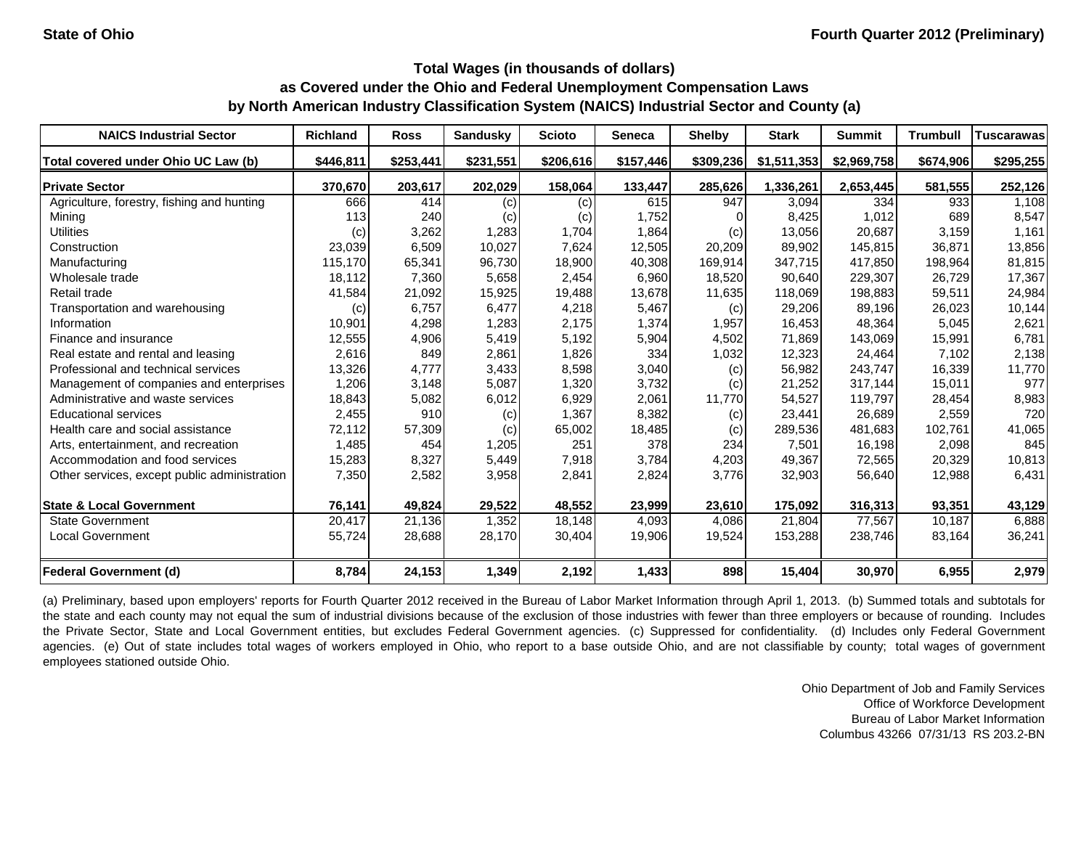| <b>NAICS Industrial Sector</b>               | <b>Richland</b> | <b>Ross</b> | <b>Sandusky</b> | <b>Scioto</b> | Seneca    | <b>Shelby</b> | <b>Stark</b> | <b>Summit</b> | <b>Trumbull</b> | Tuscarawasl |
|----------------------------------------------|-----------------|-------------|-----------------|---------------|-----------|---------------|--------------|---------------|-----------------|-------------|
| Total covered under Ohio UC Law (b)          | \$446,811       | \$253,441   | \$231,551       | \$206,616     | \$157,446 | \$309,236     | \$1,511,353  | \$2,969,758   | \$674,906       | \$295,255   |
| <b>Private Sector</b>                        | 370,670         | 203,617     | 202,029         | 158,064       | 133,447   | 285,626       | 1,336,261    | 2,653,445     | 581,555         | 252,126     |
| Agriculture, forestry, fishing and hunting   | 666             | 414         | (c)             | (c)           | 615       | 947           | 3,094        | 334           | 933             | 1,108       |
| Mining                                       | 113             | 240         | (c)             | (c)           | 1,752     |               | 8,425        | 1,012         | 689             | 8,547       |
| <b>Utilities</b>                             | (c)             | 3,262       | 1,283           | 1,704         | 1,864     | (c)           | 13,056       | 20,687        | 3,159           | 1,161       |
| Construction                                 | 23,039          | 6,509       | 10,027          | 7,624         | 12,505    | 20,209        | 89,902       | 145,815       | 36,871          | 13,856      |
| Manufacturing                                | 115,170         | 65,341      | 96,730          | 18,900        | 40,308    | 169,914       | 347,715      | 417.850       | 198,964         | 81,815      |
| Wholesale trade                              | 18,112          | 7,360       | 5,658           | 2,454         | 6,960     | 18,520        | 90,640       | 229,307       | 26,729          | 17,367      |
| Retail trade                                 | 41,584          | 21,092      | 15,925          | 19,488        | 13,678    | 11,635        | 118,069      | 198,883       | 59,511          | 24,984      |
| Transportation and warehousing               | (c)             | 6,757       | 6,477           | 4,218         | 5,467     | (c)           | 29,206       | 89,196        | 26,023          | 10,144      |
| Information                                  | 10,901          | 4,298       | 1,283           | 2,175         | 1,374     | 1,957         | 16,453       | 48,364        | 5,045           | 2,621       |
| Finance and insurance                        | 12,555          | 4,906       | 5,419           | 5,192         | 5,904     | 4,502         | 71,869       | 143,069       | 15,991          | 6,781       |
| Real estate and rental and leasing           | 2,616           | 849         | 2,861           | 1,826         | 334       | 1,032         | 12,323       | 24,464        | 7,102           | 2,138       |
| Professional and technical services          | 13,326          | 4,777       | 3,433           | 8,598         | 3,040     | (c)           | 56,982       | 243,747       | 16,339          | 11,770      |
| Management of companies and enterprises      | 1,206           | 3,148       | 5,087           | 1,320         | 3,732     | (c)           | 21,252       | 317,144       | 15,011          | 977         |
| Administrative and waste services            | 18,843          | 5,082       | 6,012           | 6,929         | 2,061     | 11,770        | 54,527       | 119,797       | 28,454          | 8,983       |
| <b>Educational services</b>                  | 2,455           | 910         | (c)             | 1,367         | 8,382     | (c)           | 23,441       | 26,689        | 2,559           | 720         |
| Health care and social assistance            | 72,112          | 57,309      | (c)             | 65,002        | 18,485    | (c)           | 289,536      | 481,683       | 102,761         | 41,065      |
| Arts, entertainment, and recreation          | 1,485           | 454         | 1,205           | 251           | 378       | 234           | 7,501        | 16,198        | 2,098           | 845         |
| Accommodation and food services              | 15,283          | 8,327       | 5,449           | 7,918         | 3,784     | 4,203         | 49,367       | 72,565        | 20,329          | 10,813      |
| Other services, except public administration | 7,350           | 2,582       | 3,958           | 2,841         | 2,824     | 3,776         | 32,903       | 56,640        | 12,988          | 6,431       |
| <b>State &amp; Local Government</b>          | 76,141          | 49,824      | 29,522          | 48,552        | 23,999    | 23,610        | 175,092      | 316,313       | 93,351          | 43,129      |
| <b>State Government</b>                      | 20,417          | 21,136      | 1,352           | 18,148        | 4,093     | 4,086         | 21,804       | 77,567        | 10,187          | 6,888       |
| Local Government                             | 55,724          | 28,688      | 28,170          | 30,404        | 19,906    | 19,524        | 153,288      | 238,746       | 83,164          | 36,241      |
| <b>Federal Government (d)</b>                | 8,784           | 24,153      | 1,349           | 2,192         | 1,433     | 898           | 15,404       | 30,970        | 6,955           | 2,979       |

(a) Preliminary, based upon employers' reports for Fourth Quarter 2012 received in the Bureau of Labor Market Information through April 1, 2013. (b) Summed totals and subtotals for the state and each county may not equal the sum of industrial divisions because of the exclusion of those industries with fewer than three employers or because of rounding. Includes the Private Sector, State and Local Government entities, but excludes Federal Government agencies. (c) Suppressed for confidentiality. (d) Includes only Federal Government agencies. (e) Out of state includes total wages of workers employed in Ohio, who report to a base outside Ohio, and are not classifiable by county; total wages of government employees stationed outside Ohio.